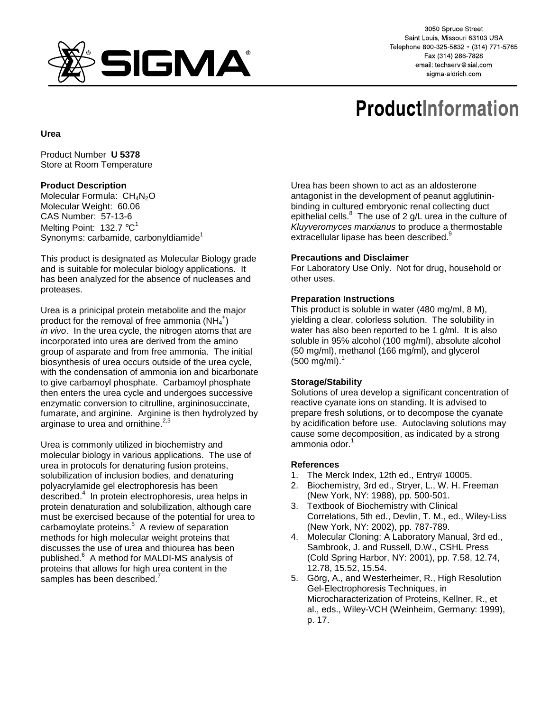

3050 Spruce Street Saint Louis, Missouri 63103 USA Telephone 800-325-5832 · (314) 771-5765 Fax (314) 286-7828 email: techserv@sial.com sigma-aldrich.com

# **ProductInformation**

### **Urea**

Product Number **U 5378** Store at Room Temperature

## **Product Description**

Molecular Formula:  $CH<sub>4</sub>N<sub>2</sub>O$ Molecular Weight: 60.06 CAS Number: 57-13-6 Melting Point: 132.7  $^{\circ}$ C<sup>1</sup> Synonyms: carbamide, carbonyldiamide<sup>1</sup>

This product is designated as Molecular Biology grade and is suitable for molecular biology applications. It has been analyzed for the absence of nucleases and proteases.

Urea is a prinicipal protein metabolite and the major product for the removal of free ammonia  $(NH_4^+)$ in vivo. In the urea cycle, the nitrogen atoms that are incorporated into urea are derived from the amino group of asparate and from free ammonia. The initial biosynthesis of urea occurs outside of the urea cycle, with the condensation of ammonia ion and bicarbonate to give carbamoyl phosphate. Carbamoyl phosphate then enters the urea cycle and undergoes successive enzymatic conversion to citrulline, argininosuccinate, fumarate, and arginine. Arginine is then hydrolyzed by arginase to urea and ornithine. $2,3$ 

Urea is commonly utilized in biochemistry and molecular biology in various applications. The use of urea in protocols for denaturing fusion proteins, solubilization of inclusion bodies, and denaturing polyacrylamide gel electrophoresis has been described.4 In protein electrophoresis, urea helps in protein denaturation and solubilization, although care must be exercised because of the potential for urea to carbamoylate proteins.<sup>5</sup> A review of separation methods for high molecular weight proteins that discusses the use of urea and thiourea has been published.<sup>6</sup> A method for MALDI-MS analysis of proteins that allows for high urea content in the samples has been described.<sup>7</sup>

Urea has been shown to act as an aldosterone antagonist in the development of peanut agglutininbinding in cultured embryonic renal collecting duct epithelial cells.  $8$  The use of 2 g/L urea in the culture of Kluyveromyces marxianus to produce a thermostable extracellular lipase has been described.<sup>9</sup>

## **Precautions and Disclaimer**

For Laboratory Use Only. Not for drug, household or other uses.

## **Preparation Instructions**

This product is soluble in water (480 mg/ml, 8 M), yielding a clear, colorless solution. The solubility in water has also been reported to be 1 g/ml. It is also soluble in 95% alcohol (100 mg/ml), absolute alcohol (50 mg/ml), methanol (166 mg/ml), and glycerol  $(500 \text{ mg/ml})$ .<sup>1</sup>

### **Storage/Stability**

Solutions of urea develop a significant concentration of reactive cyanate ions on standing. It is advised to prepare fresh solutions, or to decompose the cyanate by acidification before use. Autoclaving solutions may cause some decomposition, as indicated by a strong ammonia odor.<sup>1</sup>

### **References**

- 1. The Merck Index, 12th ed., Entry# 10005.
- 2. Biochemistry, 3rd ed., Stryer, L., W. H. Freeman (New York, NY: 1988), pp. 500-501.
- 3. Textbook of Biochemistry with Clinical Correlations, 5th ed., Devlin, T. M., ed., Wiley-Liss (New York, NY: 2002), pp. 787-789.
- 4. Molecular Cloning: A Laboratory Manual, 3rd ed., Sambrook, J. and Russell, D.W., CSHL Press (Cold Spring Harbor, NY: 2001), pp. 7.58, 12.74, 12.78, 15.52, 15.54.
- 5. Görg, A., and Westerheimer, R., High Resolution Gel-Electrophoresis Techniques, in Microcharacterization of Proteins, Kellner, R., et al., eds., Wiley-VCH (Weinheim, Germany: 1999), p. 17.